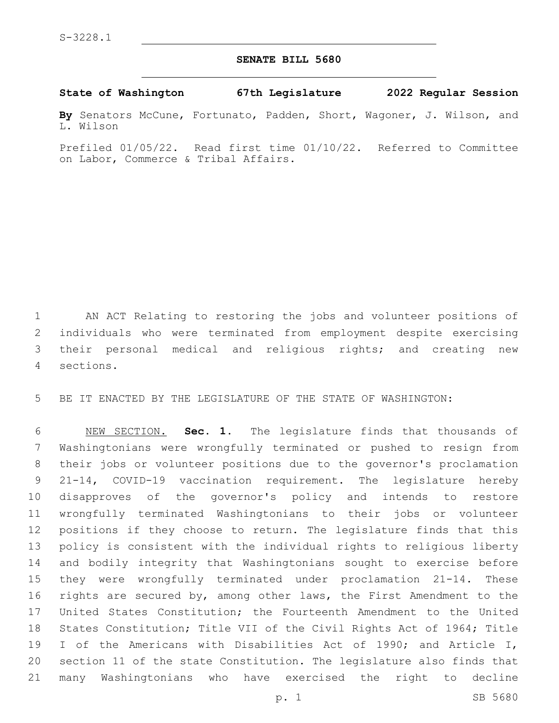## **SENATE BILL 5680**

## **State of Washington 67th Legislature 2022 Regular Session**

**By** Senators McCune, Fortunato, Padden, Short, Wagoner, J. Wilson, and L. Wilson

Prefiled 01/05/22. Read first time 01/10/22. Referred to Committee on Labor, Commerce & Tribal Affairs.

 AN ACT Relating to restoring the jobs and volunteer positions of individuals who were terminated from employment despite exercising their personal medical and religious rights; and creating new sections.4

BE IT ENACTED BY THE LEGISLATURE OF THE STATE OF WASHINGTON:

 NEW SECTION. **Sec. 1.** The legislature finds that thousands of Washingtonians were wrongfully terminated or pushed to resign from their jobs or volunteer positions due to the governor's proclamation 21-14, COVID-19 vaccination requirement. The legislature hereby disapproves of the governor's policy and intends to restore wrongfully terminated Washingtonians to their jobs or volunteer positions if they choose to return. The legislature finds that this policy is consistent with the individual rights to religious liberty and bodily integrity that Washingtonians sought to exercise before they were wrongfully terminated under proclamation 21-14. These rights are secured by, among other laws, the First Amendment to the United States Constitution; the Fourteenth Amendment to the United States Constitution; Title VII of the Civil Rights Act of 1964; Title I of the Americans with Disabilities Act of 1990; and Article I, section 11 of the state Constitution. The legislature also finds that many Washingtonians who have exercised the right to decline